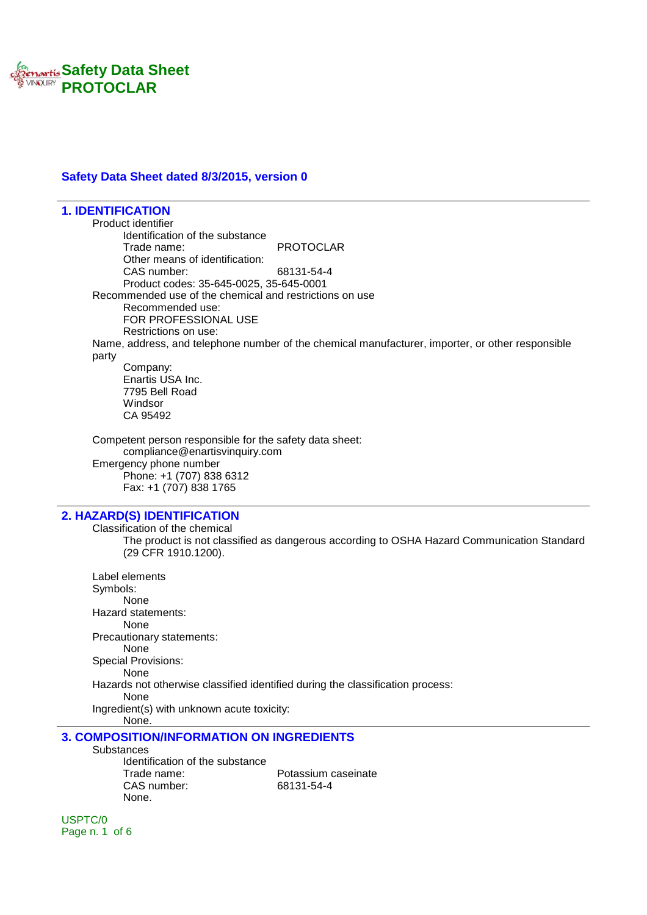

#### **Safety Data Sheet dated 8/3/2015, version 0**

**1. IDENTIFICATION** Product identifier Identification of the substance Trade name: PROTOCLAR Other means of identification: CAS number: 68131-54-4 Product codes: 35-645-0025, 35-645-0001 Recommended use of the chemical and restrictions on use Recommended use: FOR PROFESSIONAL USE Restrictions on use: Name, address, and telephone number of the chemical manufacturer, importer, or other responsible party Company: Enartis USA Inc. 7795 Bell Road Windsor CA 95492 Competent person responsible for the safety data sheet: compliance@enartisvinquiry.com Emergency phone number Phone: +1 (707) 838 6312 Fax: +1 (707) 838 1765 **2. HAZARD(S) IDENTIFICATION** Classification of the chemical The product is not classified as dangerous according to OSHA Hazard Communication Standard (29 CFR 1910.1200). Label elements Symbols: None Hazard statements: None

Precautionary statements: None Special Provisions: None

Hazards not otherwise classified identified during the classification process:

None

Ingredient(s) with unknown acute toxicity: None.

### **3. COMPOSITION/INFORMATION ON INGREDIENTS**

**Substances** 

Identification of the substance Trade name: Potassium caseinate CAS number: 68131-54-4 None.

USPTC/0 Page n. 1 of 6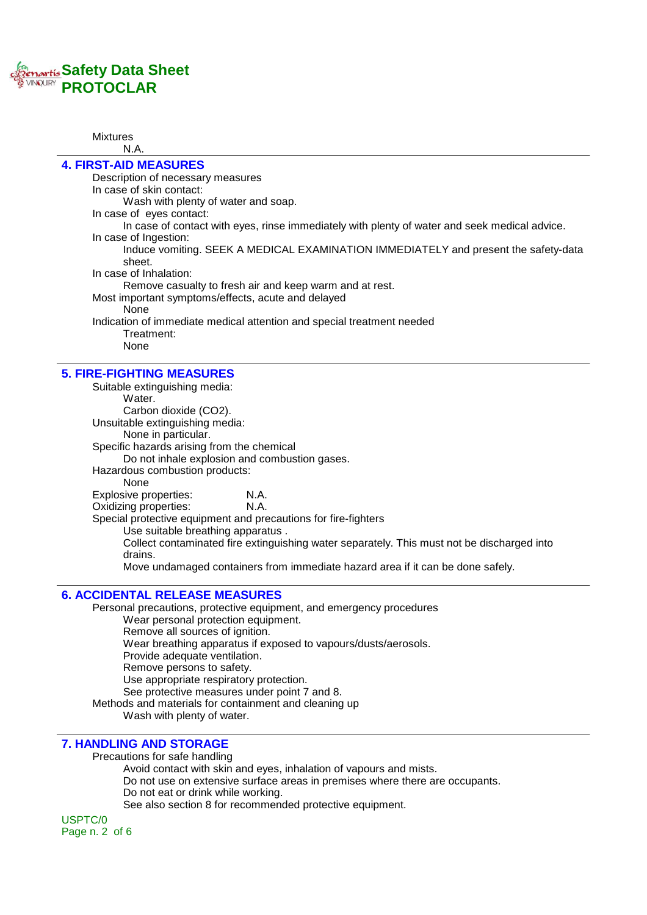# *<u>Renartis</u>* **Safety Data Sheet PROTOCLAR**

#### Mixtures N.A.

#### **4. FIRST-AID MEASURES** Description of necessary measures In case of skin contact: Wash with plenty of water and soap. In case of eyes contact: In case of contact with eyes, rinse immediately with plenty of water and seek medical advice. In case of Ingestion: Induce vomiting. SEEK A MEDICAL EXAMINATION IMMEDIATELY and present the safety-data sheet. In case of Inhalation: Remove casualty to fresh air and keep warm and at rest. Most important symptoms/effects, acute and delayed None Indication of immediate medical attention and special treatment needed Treatment: None

#### **5. FIRE-FIGHTING MEASURES**

Suitable extinguishing media: Water. Carbon dioxide (CO2). Unsuitable extinguishing media: None in particular. Specific hazards arising from the chemical Do not inhale explosion and combustion gases. Hazardous combustion products: None Explosive properties: N.A. Oxidizing properties: N.A. Special protective equipment and precautions for fire-fighters Use suitable breathing apparatus . Collect contaminated fire extinguishing water separately. This must not be discharged into drains. Move undamaged containers from immediate hazard area if it can be done safely.

### **6. ACCIDENTAL RELEASE MEASURES**

Personal precautions, protective equipment, and emergency procedures Wear personal protection equipment. Remove all sources of ignition. Wear breathing apparatus if exposed to vapours/dusts/aerosols. Provide adequate ventilation. Remove persons to safety. Use appropriate respiratory protection. See protective measures under point 7 and 8. Methods and materials for containment and cleaning up Wash with plenty of water.

### **7. HANDLING AND STORAGE**

Precautions for safe handling

Avoid contact with skin and eyes, inhalation of vapours and mists. Do not use on extensive surface areas in premises where there are occupants. Do not eat or drink while working. See also section 8 for recommended protective equipment.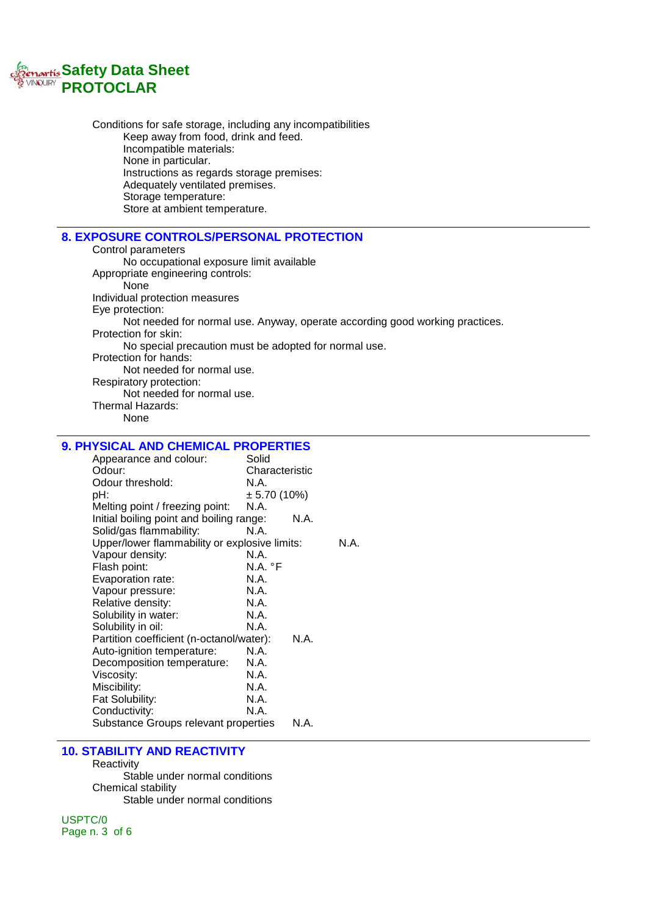

Conditions for safe storage, including any incompatibilities Keep away from food, drink and feed. Incompatible materials: None in particular. Instructions as regards storage premises: Adequately ventilated premises. Storage temperature: Store at ambient temperature.

#### **8. EXPOSURE CONTROLS/PERSONAL PROTECTION**

Control parameters No occupational exposure limit available Appropriate engineering controls: None Individual protection measures Eye protection: Not needed for normal use. Anyway, operate according good working practices. Protection for skin: No special precaution must be adopted for normal use. Protection for hands: Not needed for normal use. Respiratory protection: Not needed for normal use. Thermal Hazards: None

### **9. PHYSICAL AND CHEMICAL PROPERTIES**

| Appearance and colour:                        | Solid            |  |
|-----------------------------------------------|------------------|--|
| Odour:                                        | Characteristic   |  |
| Odour threshold:                              | N.A.             |  |
| pH:                                           | $\pm$ 5.70 (10%) |  |
| Melting point / freezing point:               | N.A.             |  |
| Initial boiling point and boiling range:      | N.A.             |  |
| Solid/gas flammability:                       | N.A.             |  |
| Upper/lower flammability or explosive limits: | N.A.             |  |
| Vapour density:                               | N.A.             |  |
| Flash point:                                  | N.A. °F          |  |
| Evaporation rate:                             | N.A.             |  |
| Vapour pressure:                              | N.A.             |  |
| Relative density:                             | N.A.             |  |
| Solubility in water:                          | N.A.             |  |
| Solubility in oil:                            | N.A.             |  |
| Partition coefficient (n-octanol/water):      | N.A.             |  |
| Auto-ignition temperature:                    | N.A.             |  |
| Decomposition temperature:                    | N.A.             |  |
| Viscosity:                                    | N.A.             |  |
| Miscibility:                                  | N.A.             |  |
| Fat Solubility:                               | N.A.             |  |
| Conductivity:                                 | N.A.             |  |
| Substance Groups relevant properties          | N.A.             |  |
|                                               |                  |  |

#### **10. STABILITY AND REACTIVITY**

**Reactivity** Stable under normal conditions Chemical stability Stable under normal conditions

USPTC/0 Page n. 3 of 6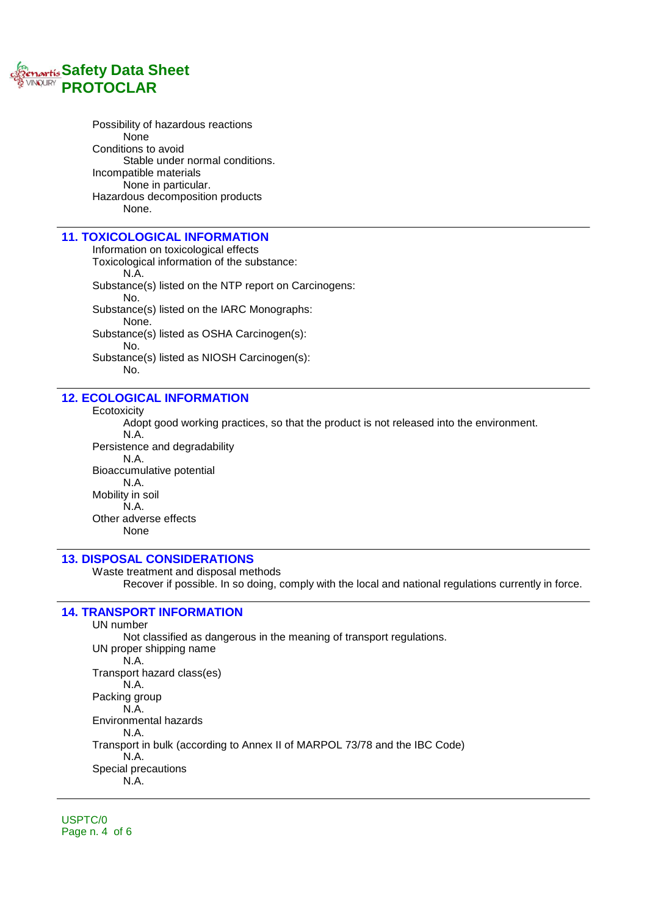

Possibility of hazardous reactions None Conditions to avoid Stable under normal conditions. Incompatible materials None in particular. Hazardous decomposition products None.

#### **11. TOXICOLOGICAL INFORMATION**

Information on toxicological effects Toxicological information of the substance: N.A. Substance(s) listed on the NTP report on Carcinogens: No. Substance(s) listed on the IARC Monographs: None. Substance(s) listed as OSHA Carcinogen(s): No. Substance(s) listed as NIOSH Carcinogen(s): No.

#### **12. ECOLOGICAL INFORMATION**

**Ecotoxicity** 

Adopt good working practices, so that the product is not released into the environment. N.A. Persistence and degradability N.A. Bioaccumulative potential N.A. Mobility in soil N.A. Other adverse effects None

#### **13. DISPOSAL CONSIDERATIONS**

Waste treatment and disposal methods Recover if possible. In so doing, comply with the local and national regulations currently in force.

## **14. TRANSPORT INFORMATION**

UN number Not classified as dangerous in the meaning of transport regulations. UN proper shipping name N.A. Transport hazard class(es) N.A. Packing group N.A. Environmental hazards N.A. Transport in bulk (according to Annex II of MARPOL 73/78 and the IBC Code) N.A. Special precautions N.A.

USPTC/0 Page n. 4 of 6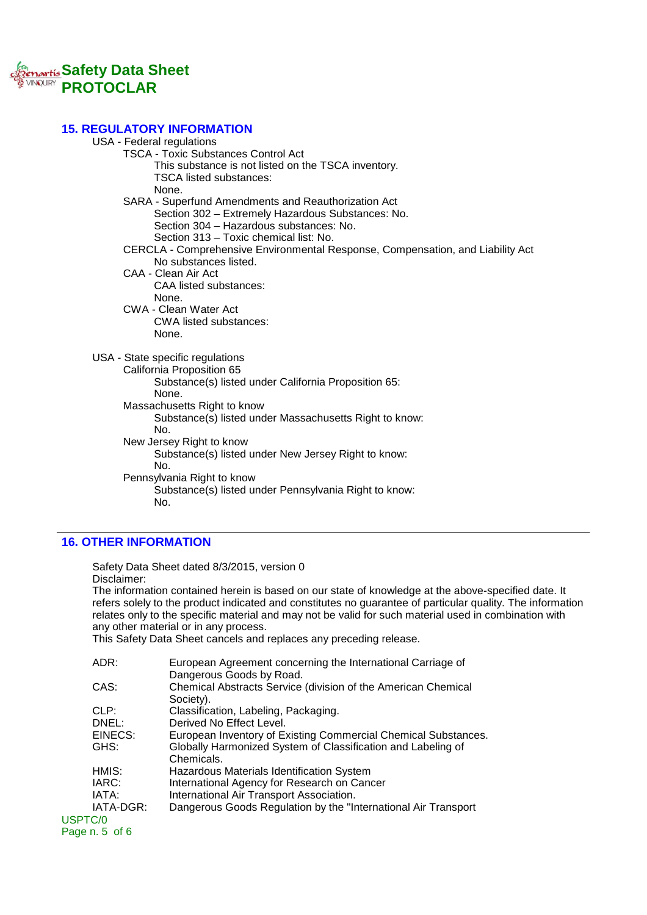

### **15. REGULATORY INFORMATION**

| ושרותושוט וויו ווערהשטש                                                        |
|--------------------------------------------------------------------------------|
| USA - Federal regulations                                                      |
| <b>TSCA - Toxic Substances Control Act</b>                                     |
| This substance is not listed on the TSCA inventory.                            |
| <b>TSCA listed substances:</b>                                                 |
| None.                                                                          |
| SARA - Superfund Amendments and Reauthorization Act                            |
| Section 302 - Extremely Hazardous Substances: No.                              |
| Section 304 - Hazardous substances: No.                                        |
| Section 313 - Toxic chemical list: No.                                         |
| CERCLA - Comprehensive Environmental Response, Compensation, and Liability Act |
| No substances listed.                                                          |
| CAA - Clean Air Act                                                            |
| <b>CAA listed substances:</b>                                                  |
| None.                                                                          |
| <b>CWA - Clean Water Act</b>                                                   |
| CWA listed substances:                                                         |
| None.                                                                          |
|                                                                                |
| USA - State specific regulations                                               |
| California Proposition 65                                                      |
| Substance(s) listed under California Proposition 65:                           |
| None.                                                                          |
|                                                                                |
| Massachusetts Right to know                                                    |
| Substance(s) listed under Massachusetts Right to know:<br>No.                  |
|                                                                                |
| New Jersey Right to know                                                       |
| Substance(s) listed under New Jersey Right to know:<br>No.                     |
|                                                                                |
| Pennsylvania Right to know                                                     |
| Substance(s) listed under Pennsylvania Right to know:                          |
| No.                                                                            |
|                                                                                |

# **16. OTHER INFORMATION**

Safety Data Sheet dated 8/3/2015, version 0 Disclaimer: The information contained herein is based on our state of knowledge at the above-specified date. It refers solely to the product indicated and constitutes no guarantee of particular quality. The information relates only to the specific material and may not be valid for such material used in combination with any other material or in any process. This Safety Data Sheet cancels and replaces any preceding release. ADR: European Agreement concerning the International Carriage of Dangerous Goods by Road. CAS: Chemical Abstracts Service (division of the American Chemical Society). CLP: Classification, Labeling, Packaging. DNEL: Derived No Effect Level. EINECS: European Inventory of Existing Commercial Chemical Substances. GHS: Globally Harmonized System of Classification and Labeling of Chemicals. HMIS: Hazardous Materials Identification System IARC: International Agency for Research on Cancer<br>IATA: International Air Transport Association

```
IATA: International Air Transport Association.<br>IATA-DGR: Dangerous Goods Regulation by the "In
         Dangerous Goods Regulation by the "International Air Transport
```
USPTC/0 Page n. 5 of 6